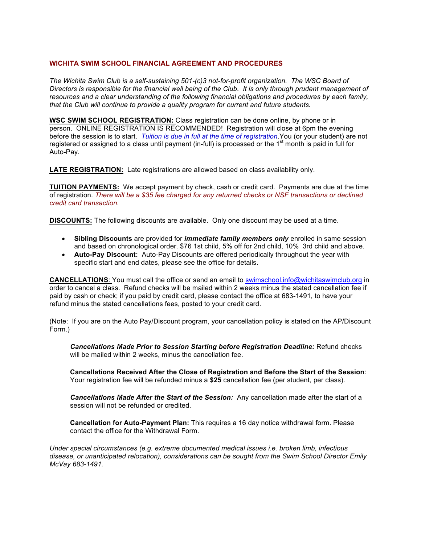## **WICHITA SWIM SCHOOL FINANCIAL AGREEMENT AND PROCEDURES**

*The Wichita Swim Club is a self-sustaining 501-(c)3 not-for-profit organization. The WSC Board of Directors is responsible for the financial well being of the Club. It is only through prudent management of resources and a clear understanding of the following financial obligations and procedures by each family, that the Club will continue to provide a quality program for current and future students.*

**WSC SWIM SCHOOL REGISTRATION:** Class registration can be done online, by phone or in person. ONLINE REGISTRATION IS RECOMMENDED! Registration will close at 6pm the evening before the session is to start. *Tuition is due in full at the time of registration*.You (or your student) are not registered or assigned to a class until payment (in-full) is processed or the 1<sup>st</sup> month is paid in full for Auto-Pay.

**LATE REGISTRATION:** Late registrations are allowed based on class availability only.

**TUITION PAYMENTS:** We accept payment by check, cash or credit card. Payments are due at the time of registration. *There will be a \$35 fee charged for any returned checks or NSF transactions or declined credit card transaction.*

**DISCOUNTS:** The following discounts are available. Only one discount may be used at a time.

- **Sibling Discounts** are provided for *immediate family members only* enrolled in same session and based on chronological order. \$76 1st child, 5% off for 2nd child, 10% 3rd child and above.
- **Auto-Pay Discount:** Auto-Pay Discounts are offered periodically throughout the year with specific start and end dates, please see the office for details.

**CANCELLATIONS**: You must call the office or send an email to swimschool.info@wichitaswimclub.org in order to cancel a class. Refund checks will be mailed within 2 weeks minus the stated cancellation fee if paid by cash or check; if you paid by credit card, please contact the office at 683-1491, to have your refund minus the stated cancellations fees, posted to your credit card.

(Note: If you are on the Auto Pay/Discount program, your cancellation policy is stated on the AP/Discount Form.)

*Cancellations Made Prior to Session Starting before Registration Deadline:* Refund checks will be mailed within 2 weeks, minus the cancellation fee.

**Cancellations Received After the Close of Registration and Before the Start of the Session**: Your registration fee will be refunded minus a **\$25** cancellation fee (per student, per class).

*Cancellations Made After the Start of the Session:* Any cancellation made after the start of a session will not be refunded or credited.

**Cancellation for Auto-Payment Plan:** This requires a 16 day notice withdrawal form. Please contact the office for the Withdrawal Form.

*Under special circumstances (e.g. extreme documented medical issues i.e. broken limb, infectious disease, or unanticipated relocation), considerations can be sought from the Swim School Director Emily McVay 683-1491.*